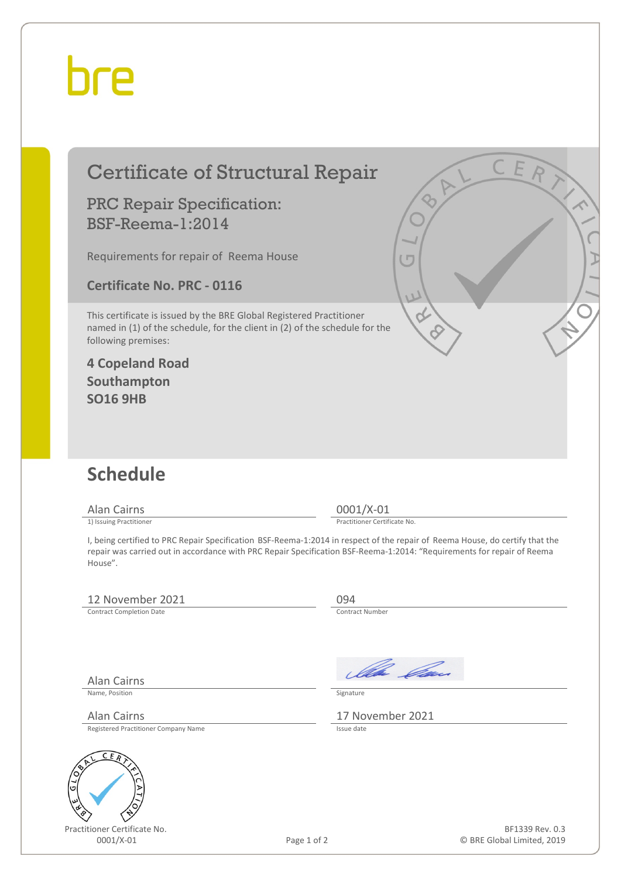## bre

| <b>Certificate of Structural Repair</b>                                                                                                                                    |                                                                                                                                                                                                                                                                                        |
|----------------------------------------------------------------------------------------------------------------------------------------------------------------------------|----------------------------------------------------------------------------------------------------------------------------------------------------------------------------------------------------------------------------------------------------------------------------------------|
| <b>PRC Repair Specification:</b><br><b>BSF-Reema-1:2014</b>                                                                                                                |                                                                                                                                                                                                                                                                                        |
| Requirements for repair of Reema House                                                                                                                                     |                                                                                                                                                                                                                                                                                        |
| <b>Certificate No. PRC - 0116</b>                                                                                                                                          |                                                                                                                                                                                                                                                                                        |
| This certificate is issued by the BRE Global Registered Practitioner<br>named in (1) of the schedule, for the client in (2) of the schedule for the<br>following premises: |                                                                                                                                                                                                                                                                                        |
| <b>4 Copeland Road</b><br>Southampton<br><b>SO16 9HB</b>                                                                                                                   |                                                                                                                                                                                                                                                                                        |
| <b>Schedule</b>                                                                                                                                                            |                                                                                                                                                                                                                                                                                        |
| <b>Alan Cairns</b>                                                                                                                                                         | $0001/X-01$                                                                                                                                                                                                                                                                            |
| 1) Issuing Practitioner<br>House".                                                                                                                                         | Practitioner Certificate No.<br>I, being certified to PRC Repair Specification BSF-Reema-1:2014 in respect of the repair of Reema House, do certify that the<br>repair was carried out in accordance with PRC Repair Specification BSF-Reema-1:2014: "Requirements for repair of Reema |
| 12 November 2021<br><b>Contract Completion Date</b>                                                                                                                        | 094<br>Contract Number                                                                                                                                                                                                                                                                 |
| Alan Cairns                                                                                                                                                                | Illa Can                                                                                                                                                                                                                                                                               |
| Name, Position                                                                                                                                                             | Signature                                                                                                                                                                                                                                                                              |
| Alan Cairns<br>Registered Practitioner Company Name                                                                                                                        | 17 November 2021<br>Issue date                                                                                                                                                                                                                                                         |



Practitioner Certificate No. 0001/X-01 Page 1 of 2